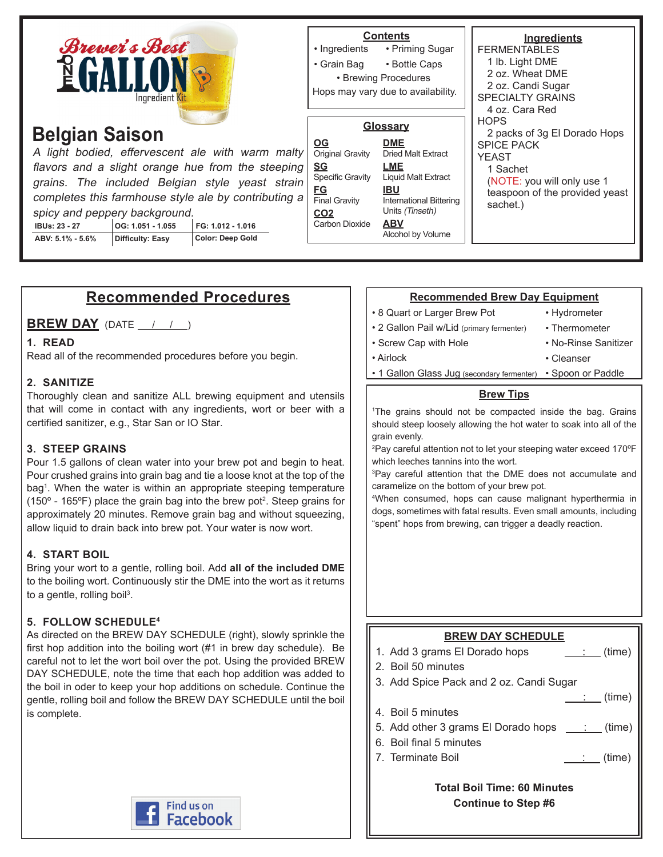| <b>Brewer's Best</b><br>$\frac{N}{E}$<br>fЛ<br>Ingredient Kit                                                                                                                                                                                                                                                                                                                                                   | <b>Contents</b><br>• Ingredients<br>• Grain Bag<br>• Brewing Procedures<br>Hops may vary due to availability.                                                                      | • Priming Sugar<br>• Bottle Caps                                                                                                                                            | Ingredients<br><b>FERMENTABLES</b><br>1 lb. Light DME<br>2 oz. Wheat DME<br>2 oz. Candi Sugar<br><b>SPECIALTY GRAINS</b><br>4 oz. Cara Red                                |
|-----------------------------------------------------------------------------------------------------------------------------------------------------------------------------------------------------------------------------------------------------------------------------------------------------------------------------------------------------------------------------------------------------------------|------------------------------------------------------------------------------------------------------------------------------------------------------------------------------------|-----------------------------------------------------------------------------------------------------------------------------------------------------------------------------|---------------------------------------------------------------------------------------------------------------------------------------------------------------------------|
| <b>Belgian Saison</b><br>A light bodied, effervescent ale with warm malty<br>flavors and a slight orange hue from the steeping<br>grains. The included Belgian style yeast strain<br>completes this farmhouse style ale by contributing a<br>spicy and peppery background.<br>FG: 1.012 - 1.016<br>OG: 1.051 - 1.055<br><b>IBUs: 23 - 27</b><br>Color: Deep Gold<br>ABV: 5.1% - 5.6%<br><b>Difficulty: Easy</b> | <b>Glossary</b><br>$\underline{\mathsf{OG}}$<br>Original Gravity<br><u>SG</u><br><b>Specific Gravity</b><br><u>FG</u><br><b>Final Gravity</b><br>CO <sub>2</sub><br>Carbon Dioxide | <b>DME</b><br><b>Dried Malt Extract</b><br>LME<br><b>Liquid Malt Extract</b><br><b>IBU</b><br>International Bittering<br>Units (Tinseth)<br><b>ABV</b><br>Alcohol by Volume | <b>HOPS</b><br>2 packs of 3g El Dorado Hops<br><b>SPICE PACK</b><br><b>YEAST</b><br>1 Sachet<br>(NOTE: you will only use 1)<br>teaspoon of the provided yeast<br>sachet.) |

# **Recommended Procedures**

**BREW DAY** (DATE  $\left( \begin{array}{ccc} 1 & 1 \end{array} \right)$ 

## **1. READ**

Read all of the recommended procedures before you begin.

## **2. SANITIZE**

Thoroughly clean and sanitize ALL brewing equipment and utensils that will come in contact with any ingredients, wort or beer with a certified sanitizer, e.g., Star San or IO Star.

## **3. STEEP GRAINS**

Pour 1.5 gallons of clean water into your brew pot and begin to heat. Pour crushed grains into grain bag and tie a loose knot at the top of the bag1 . When the water is within an appropriate steeping temperature (150 $\textdegree$  - 165 $\textdegree$ F) place the grain bag into the brew pot<sup>2</sup>. Steep grains for approximately 20 minutes. Remove grain bag and without squeezing, allow liquid to drain back into brew pot. Your water is now wort.

## **4. START BOIL**

Bring your wort to a gentle, rolling boil. Add **all of the included DME** to the boiling wort. Continuously stir the DME into the wort as it returns to a gentle, rolling boil<sup>3</sup>.

## **5. FOLLOW SCHEDULE4**

As directed on the BREW DAY SCHEDULE (right), slowly sprinkle the first hop addition into the boiling wort (#1 in brew day schedule). Be careful not to let the wort boil over the pot. Using the provided BREW DAY SCHEDULE, note the time that each hop addition was added to the boil in oder to keep your hop additions on schedule. Continue the gentle, rolling boil and follow the BREW DAY SCHEDULE until the boil is complete.



#### **Recommended Brew Day Equipment**

- 8 Quart or Larger Brew Pot
- 2 Gallon Pail w/Lid (primary fermenter)
- Screw Cap with Hole
- Airlock

• No-Rinse Sanitizer

• Hydrometer • Thermometer

: (time)

• 1 Gallon Glass Jug (secondary fermenter) • Spoon or Paddle • Cleanser

#### **Brew Tips**

1 The grains should not be compacted inside the bag. Grains should steep loosely allowing the hot water to soak into all of the grain evenly.

2 Pay careful attention not to let your steeping water exceed 170ºF which leeches tannins into the wort.

3 Pay careful attention that the DME does not accumulate and caramelize on the bottom of your brew pot.

4 When consumed, hops can cause malignant hyperthermia in dogs, sometimes with fatal results. Even small amounts, including "spent" hops from brewing, can trigger a deadly reaction.

# **BREW DAY SCHEDULE**

- 1. Add 3 grams El Dorado hops  $\qquad \qquad$  : (time)
- 2. Boil 50 minutes
- 3. Add Spice Pack and 2 oz. Candi Sugar
- 4. Boil 5 minutes
- 5. Add other 3 grams El Dorado hops : (time)
- 6. Boil final 5 minutes
- 7. Terminate Boil in the same of the set of the set of the set of the set of the set of the set of the set of the set of the set of the set of the set of the set of the set of the set of the set of the set of the set of th

**Total Boil Time: 60 Minutes Continue to Step #6**